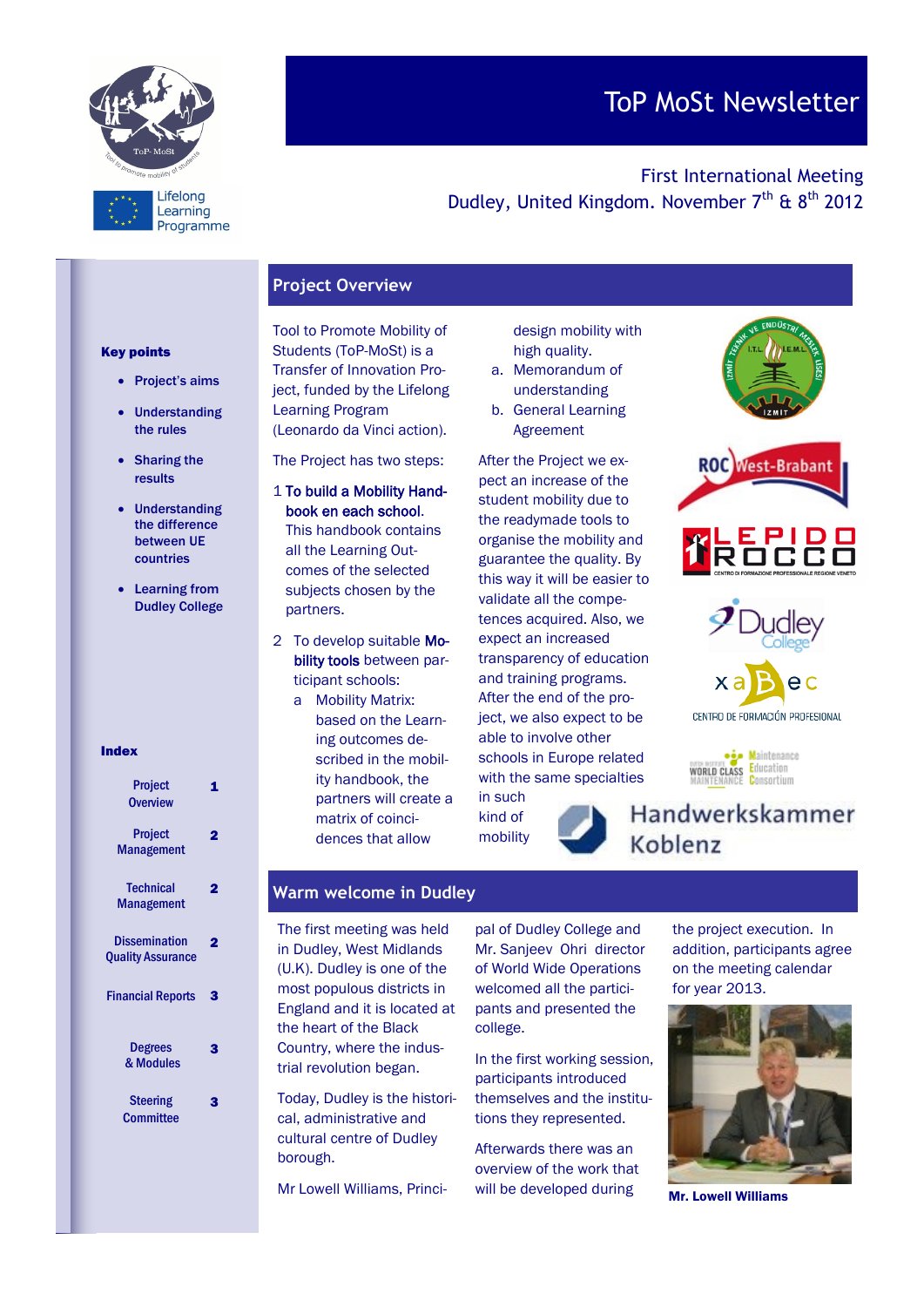

# ToP MoSt Newsletter

First International Meeting Dudley, United Kingdom. November  $7<sup>th</sup>$  &  $8<sup>th</sup>$  2012

# **Project Overview**

#### Key points

- Project's aims
- Understanding the rules
- Sharing the results
- Understanding the difference between UE countries
- Learning from Dudley College

#### Index

| <b>Project</b><br><b>Overview</b>                |   |
|--------------------------------------------------|---|
| <b>Project</b><br><b>Management</b>              |   |
| <b>Technical</b><br><b>Management</b>            |   |
| <b>Dissemination</b><br><b>Quality Assurance</b> | 2 |
| <b>Financial Reports</b>                         | 3 |
| <b>Degrees</b><br>& Modules                      | 3 |
| Steering<br>Committee                            | 3 |
|                                                  |   |

Tool to Promote Mobility of Students (ToP-MoSt) is a Transfer of Innovation Project, funded by the Lifelong Learning Program (Leonardo da Vinci action).

The Project has two steps:

- 1 To build a Mobility Handbook en each school. This handbook contains all the Learning Outcomes of the selected subjects chosen by the partners.
- 2 To develop suitable Mobility tools between participant schools:
	- a Mobility Matrix: based on the Learning outcomes described in the mobility handbook, the partners will create a matrix of coincidences that allow

design mobility with high quality.

- a. Memorandum of understanding
- b. General Learning Agreement

After the Project we expect an increase of the student mobility due to the readymade tools to organise the mobility and guarantee the quality. By this way it will be easier to validate all the competences acquired. Also, we expect an increased transparency of education and training programs. After the end of the project, we also expect to be able to involve other schools in Europe related with the same specialties

in such kind of mobility







**via** Maintenance WORLD CLASS Education Consortium



Handwerkskammer Koblenz

# **Warm welcome in Dudley**

The first meeting was held in Dudley, West Midlands (U.K). Dudley is one of the most populous districts in England and it is located at the heart of the Black Country, where the industrial revolution began.

Today, Dudley is the historical, administrative and cultural centre of Dudley borough.

Mr Lowell Williams, Princi-

pal of Dudley College and Mr. Sanjeev Ohri director of World Wide Operations welcomed all the participants and presented the college.

In the first working session, participants introduced themselves and the institutions they represented.

Afterwards there was an overview of the work that will be developed during

the project execution. In addition, participants agree on the meeting calendar for year 2013.



Mr. Lowell Williams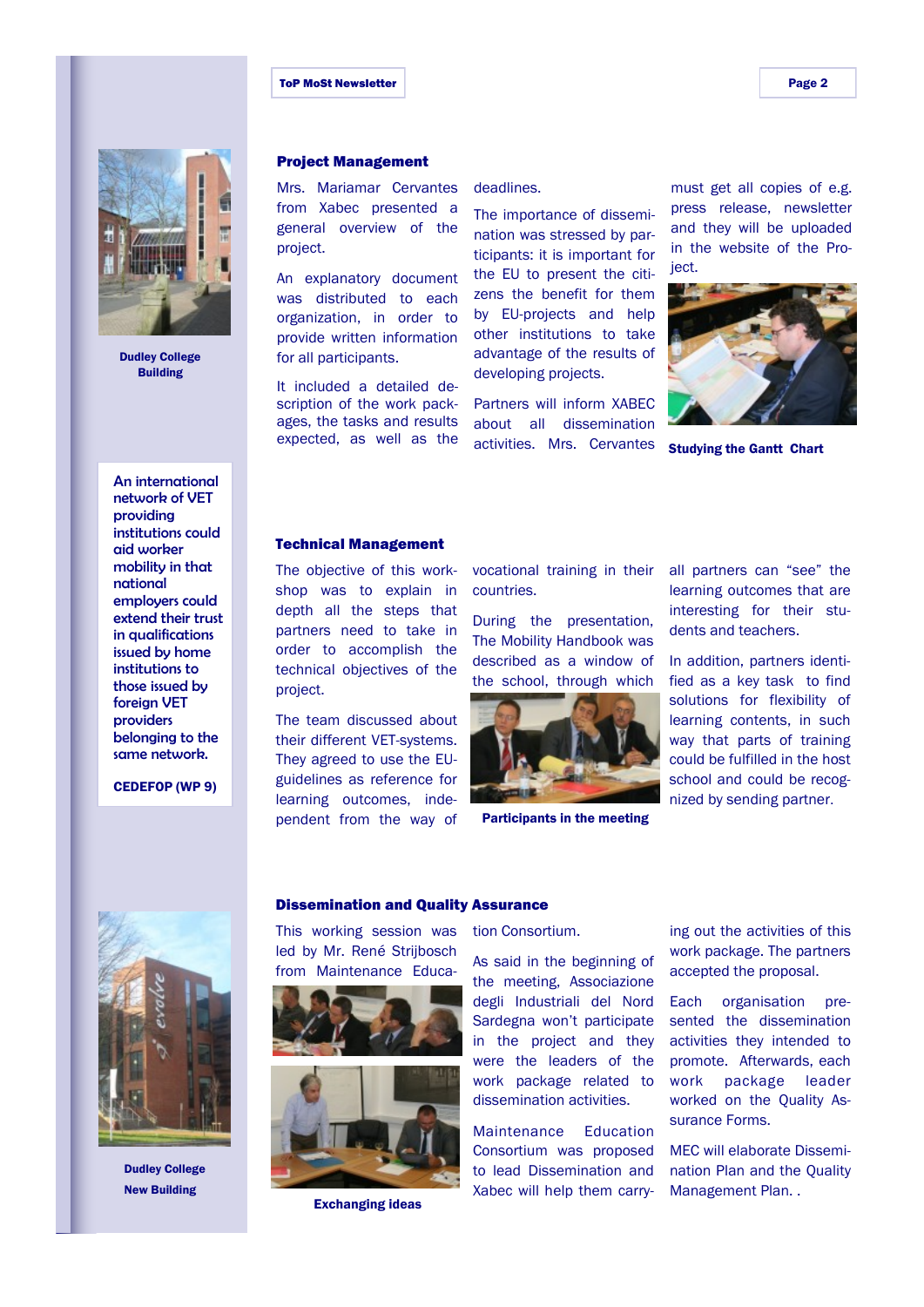#### ToP MoSt Newsletter **Page 2**



Dudley College Building

# An international network of VET

providing institutions could aid worker mobility in that national employers could extend their trust in qualifications issued by home institutions to those issued by foreign VET providers belonging to the same network.

CEDEFOP (WP 9)

#### Project Management

Mrs. Mariamar Cervantes from Xabec presented a general overview of the project.

An explanatory document was distributed to each organization, in order to provide written information for all participants.

It included a detailed description of the work packages, the tasks and results expected, as well as the

#### deadlines.

The importance of dissemination was stressed by participants: it is important for the EU to present the citizens the benefit for them by EU-projects and help other institutions to take advantage of the results of developing projects.

Partners will inform XABEC about all dissemination activities. Mrs. Cervantes

must get all copies of e.g. press release, newsletter and they will be uploaded in the website of the Project.



Studying the Gantt Chart

#### Technical Management

The objective of this workshop was to explain in depth all the steps that partners need to take in order to accomplish the technical objectives of the project.

The team discussed about their different VET-systems. They agreed to use the EUguidelines as reference for learning outcomes, independent from the way of vocational training in their countries.

During the presentation, The Mobility Handbook was described as a window of the school, through which



Participants in the meeting

all partners can "see" the learning outcomes that are interesting for their students and teachers.

In addition, partners identified as a key task to find solutions for flexibility of learning contents, in such way that parts of training could be fulfilled in the host school and could be recognized by sending partner.



Dudley College New Building

#### Dissemination and Quality Assurance

This working session was led by Mr. René Strijbosch from Maintenance Educa-





Exchanging ideas

tion Consortium.

As said in the beginning of the meeting, Associazione degli Industriali del Nord Sardegna won't participate in the project and they were the leaders of the work package related to dissemination activities.

Maintenance Education Consortium was proposed to lead Dissemination and Xabec will help them carrying out the activities of this work package. The partners accepted the proposal.

Each organisation presented the dissemination activities they intended to promote. Afterwards, each work package leader worked on the Quality Assurance Forms.

MEC will elaborate Dissemination Plan and the Quality Management Plan. .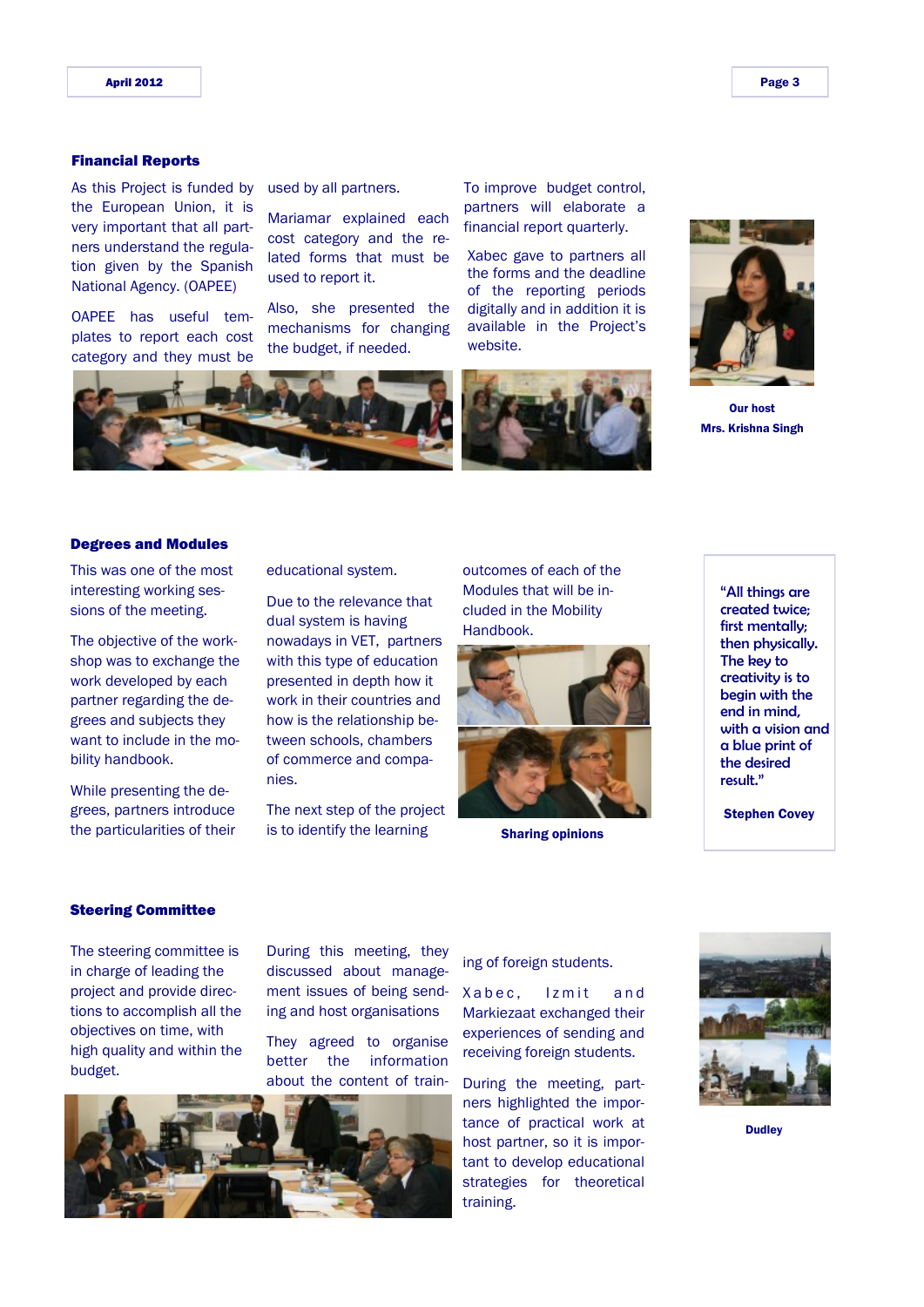#### Financial Reports

As this Project is funded by the European Union, it is very important that all partners understand the regulation given by the Spanish National Agency. (OAPEE)

OAPEE has useful templates to report each cost category and they must be

used by all partners.

Mariamar explained each cost category and the related forms that must be used to report it.

Also, she presented the mechanisms for changing the budget, if needed.

To improve budget control, partners will elaborate a financial report quarterly.

Xabec gave to partners all the forms and the deadline of the reporting periods digitally and in addition it is available in the Project's website.



Our host Mrs. Krishna Singh



#### Degrees and Modules

This was one of the most interesting working sessions of the meeting.

The objective of the workshop was to exchange the work developed by each partner regarding the degrees and subjects they want to include in the mobility handbook.

While presenting the degrees, partners introduce the particularities of their educational system.

Due to the relevance that dual system is having nowadays in VET, partners with this type of education presented in depth how it work in their countries and how is the relationship between schools, chambers of commerce and companies.

The next step of the project is to identify the learning

outcomes of each of the Modules that will be included in the Mobility Handbook.



Sharing opinions

"All things are created twice; first mentally; then physically. The key to creativity is to begin with the end in mind, with a vision and a blue print of the desired result."

Stephen Covey

#### Steering Committee

The steering committee is in charge of leading the project and provide directions to accomplish all the objectives on time, with high quality and within the budget.

During this meeting, they discussed about management issues of being sending and host organisations

They agreed to organise better the information about the content of train-



ing of foreign students.

Xabec, Izmit and Markiezaat exchanged their experiences of sending and receiving foreign students.

During the meeting, partners highlighted the importance of practical work at host partner, so it is important to develop educational strategies for theoretical training.



**Dudley**